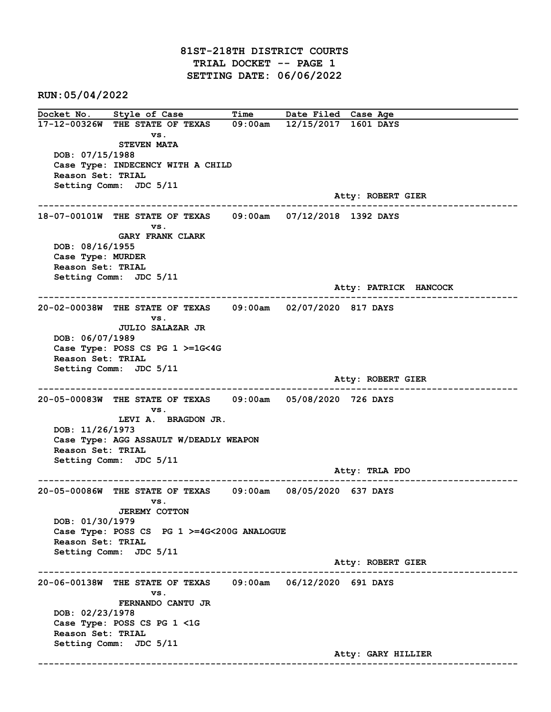81ST-218TH DISTRICT COURTS TRIAL DOCKET -- PAGE 1 SETTING DATE: 06/06/2022

RUN:05/04/2022

Docket No. Style of Case Time Date Filed Case Age 17-12-00326W THE STATE OF TEXAS 09:00am 12/15/2017 1601 DAYS vs. STEVEN MATA DOB: 07/15/1988 Case Type: INDECENCY WITH A CHILD Reason Set: TRIAL Setting Comm: JDC 5/11 Atty: ROBERT GIER ------------------------------------------------------------------------------------------------------------------------ 18-07-00101W THE STATE OF TEXAS 09:00am 07/12/2018 1392 DAYS vs. GARY FRANK CLARK DOB: 08/16/1955 Case Type: MURDER Reason Set: TRIAL Setting Comm: JDC 5/11 Atty: PATRICK HANCOCK ------------------------------------------------------------------------------------------------------------------------ 20-02-00038W THE STATE OF TEXAS 09:00am 02/07/2020 817 DAYS vs. JULIO SALAZAR JR DOB: 06/07/1989 Case Type: POSS CS PG 1 >=1G<4G Reason Set: TRIAL Setting Comm: JDC 5/11 Atty: ROBERT GIER ------------------------------------------------------------------------------------------------------------------------ 20-05-00083W THE STATE OF TEXAS 09:00am 05/08/2020 726 DAYS vs. LEVI A. BRAGDON JR. DOB: 11/26/1973 Case Type: AGG ASSAULT W/DEADLY WEAPON Reason Set: TRIAL Setting Comm: JDC 5/11 Atty: TRLA PDO ------------------------------------------------------------------------------------------------------------------------ 20-05-00086W THE STATE OF TEXAS 09:00am 08/05/2020 637 DAYS vs. JEREMY COTTON DOB: 01/30/1979 Case Type: POSS CS PG 1 >=4G<200G ANALOGUE Reason Set: TRIAL Setting Comm: JDC 5/11 Atty: ROBERT GIER ------------------------------------------------------------------------------------------------------------------------ 20-06-00138W THE STATE OF TEXAS 09:00am 06/12/2020 691 DAYS vs. FERNANDO CANTU JR DOB: 02/23/1978 Case Type: POSS CS PG 1 <1G Reason Set: TRIAL Setting Comm: JDC 5/11 Atty: GARY HILLIER ------------------------------------------------------------------------------------------------------------------------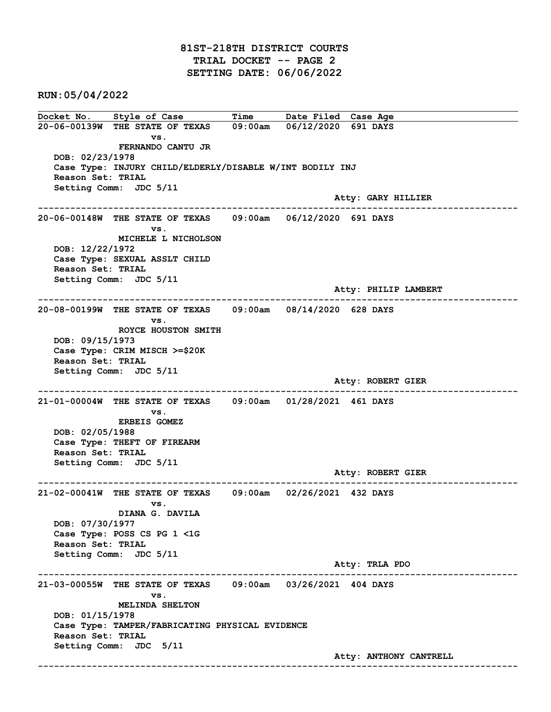Docket No. Style of Case Time Date Filed Case Age 20-06-00139W THE STATE OF TEXAS 09:00am 06/12/2020 691 DAYS vs. FERNANDO CANTU JR DOB: 02/23/1978 Case Type: INJURY CHILD/ELDERLY/DISABLE W/INT BODILY INJ Reason Set: TRIAL Setting Comm: JDC 5/11 Atty: GARY HILLIER ------------------------------------------------------------------------------------------------------------------------ 20-06-00148W THE STATE OF TEXAS 09:00am 06/12/2020 691 DAYS vs. MICHELE L NICHOLSON DOB: 12/22/1972 Case Type: SEXUAL ASSLT CHILD Reason Set: TRIAL Setting Comm: JDC 5/11 Atty: PHILIP LAMBERT ------------------------------------------------------------------------------------------------------------------------ 20-08-00199W THE STATE OF TEXAS 09:00am 08/14/2020 628 DAYS vs. ROYCE HOUSTON SMITH DOB: 09/15/1973 Case Type: CRIM MISCH >=\$20K Reason Set: TRIAL Setting Comm: JDC 5/11 Atty: ROBERT GIER ------------------------------------------------------------------------------------------------------------------------ 21-01-00004W THE STATE OF TEXAS 09:00am 01/28/2021 461 DAYS vs. ERBEIS GOMEZ DOB: 02/05/1988 Case Type: THEFT OF FIREARM Reason Set: TRIAL Setting Comm: JDC 5/11 Atty: ROBERT GIER ------------------------------------------------------------------------------------------------------------------------ 21-02-00041W THE STATE OF TEXAS 09:00am 02/26/2021 432 DAYS vs. DIANA G. DAVILA DOB: 07/30/1977 Case Type: POSS CS PG 1 <1G Reason Set: TRIAL Setting Comm: JDC 5/11 Atty: TRLA PDO ------------------------------------------------------------------------------------------------------------------------ 21-03-00055W THE STATE OF TEXAS 09:00am 03/26/2021 404 DAYS vs. MELINDA SHELTON DOB: 01/15/1978 Case Type: TAMPER/FABRICATING PHYSICAL EVIDENCE Reason Set: TRIAL Setting Comm: JDC 5/11 Atty: ANTHONY CANTRELL ------------------------------------------------------------------------------------------------------------------------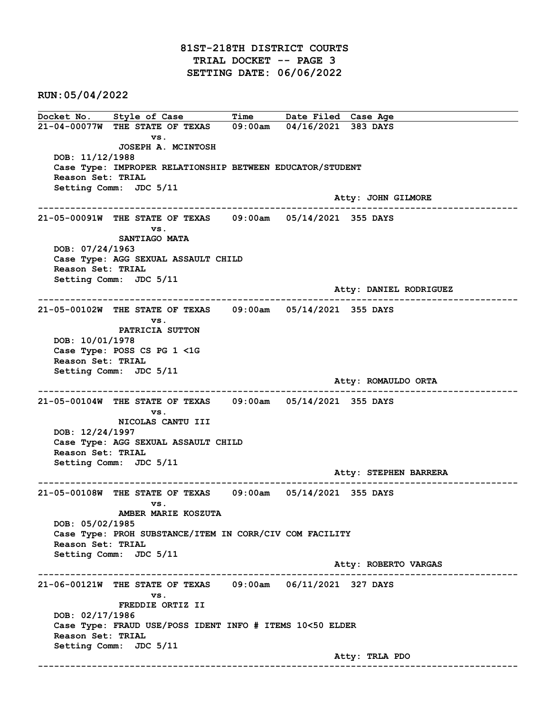Docket No. Style of Case Time Date Filed Case Age 21-04-00077W THE STATE OF TEXAS 09:00am 04/16/2021 383 DAYS vs. JOSEPH A. MCINTOSH DOB: 11/12/1988 Case Type: IMPROPER RELATIONSHIP BETWEEN EDUCATOR/STUDENT Reason Set: TRIAL Setting Comm: JDC 5/11 Atty: JOHN GILMORE ------------------------------------------------------------------------------------------------------------------------ 21-05-00091W THE STATE OF TEXAS 09:00am 05/14/2021 355 DAYS vs. SANTIAGO MATA DOB: 07/24/1963 Case Type: AGG SEXUAL ASSAULT CHILD Reason Set: TRIAL Setting Comm: JDC 5/11 Atty: DANIEL RODRIGUEZ ------------------------------------------------------------------------------------------------------------------------ 21-05-00102W THE STATE OF TEXAS 09:00am 05/14/2021 355 DAYS vs. PATRICIA SUTTON DOB: 10/01/1978 Case Type: POSS CS PG 1 <1G Reason Set: TRIAL Setting Comm: JDC 5/11 Atty: ROMAULDO ORTA ------------------------------------------------------------------------------------------------------------------------ 21-05-00104W THE STATE OF TEXAS 09:00am 05/14/2021 355 DAYS vs. NICOLAS CANTU III DOB: 12/24/1997 Case Type: AGG SEXUAL ASSAULT CHILD Reason Set: TRIAL Setting Comm: JDC 5/11 Atty: STEPHEN BARRERA ------------------------------------------------------------------------------------------------------------------------ 21-05-00108W THE STATE OF TEXAS 09:00am 05/14/2021 355 DAYS vs. AMBER MARIE KOSZUTA DOB: 05/02/1985 Case Type: PROH SUBSTANCE/ITEM IN CORR/CIV COM FACILITY Reason Set: TRIAL Setting Comm: JDC 5/11 Atty: ROBERTO VARGAS ------------------------------------------------------------------------------------------------------------------------ 21-06-00121W THE STATE OF TEXAS 09:00am 06/11/2021 327 DAYS vs. FREDDIE ORTIZ II DOB: 02/17/1986 Case Type: FRAUD USE/POSS IDENT INFO # ITEMS 10<50 ELDER Reason Set: TRIAL Setting Comm: JDC 5/11 Atty: TRLA PDO ------------------------------------------------------------------------------------------------------------------------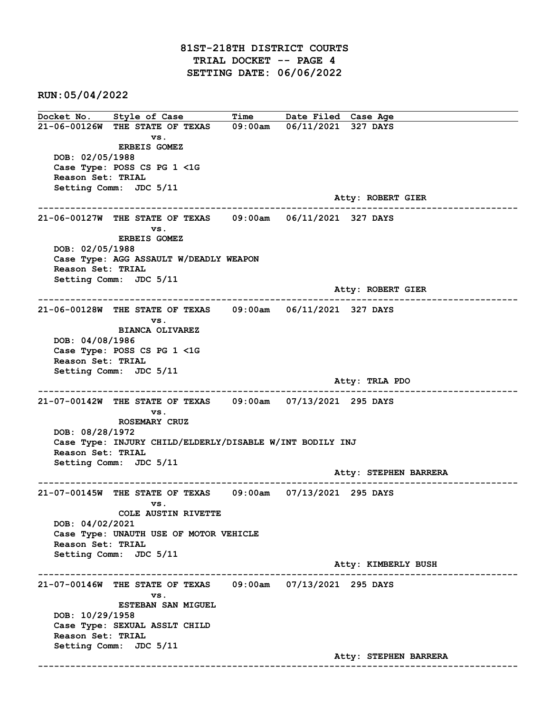Docket No. Style of Case Time Date Filed Case Age 21-06-00126W THE STATE OF TEXAS 09:00am 06/11/2021 327 DAYS vs. ERBEIS GOMEZ DOB: 02/05/1988 Case Type: POSS CS PG 1 <1G Reason Set: TRIAL Setting Comm: JDC 5/11 Atty: ROBERT GIER ------------------------------------------------------------------------------------------------------------------------ 21-06-00127W THE STATE OF TEXAS 09:00am 06/11/2021 327 DAYS vs. ERBEIS GOMEZ DOB: 02/05/1988 Case Type: AGG ASSAULT W/DEADLY WEAPON Reason Set: TRIAL Setting Comm: JDC 5/11 Atty: ROBERT GIER ------------------------------------------------------------------------------------------------------------------------ 21-06-00128W THE STATE OF TEXAS 09:00am 06/11/2021 327 DAYS vs. BIANCA OLIVAREZ DOB: 04/08/1986 Case Type: POSS CS PG 1 <1G Reason Set: TRIAL Setting Comm: JDC 5/11 Atty: TRLA PDO ------------------------------------------------------------------------------------------------------------------------ 21-07-00142W THE STATE OF TEXAS 09:00am 07/13/2021 295 DAYS vs. ROSEMARY CRUZ DOB: 08/28/1972 Case Type: INJURY CHILD/ELDERLY/DISABLE W/INT BODILY INJ Reason Set: TRIAL Setting Comm: JDC 5/11 Atty: STEPHEN BARRERA ------------------------------------------------------------------------------------------------------------------------ 21-07-00145W THE STATE OF TEXAS 09:00am 07/13/2021 295 DAYS vs. COLE AUSTIN RIVETTE DOB: 04/02/2021 Case Type: UNAUTH USE OF MOTOR VEHICLE Reason Set: TRIAL Setting Comm: JDC 5/11 Atty: KIMBERLY BUSH ------------------------------------------------------------------------------------------------------------------------ 21-07-00146W THE STATE OF TEXAS 09:00am 07/13/2021 295 DAYS vs. ESTEBAN SAN MIGUEL DOB: 10/29/1958 Case Type: SEXUAL ASSLT CHILD Reason Set: TRIAL Setting Comm: JDC 5/11 Atty: STEPHEN BARRERA ------------------------------------------------------------------------------------------------------------------------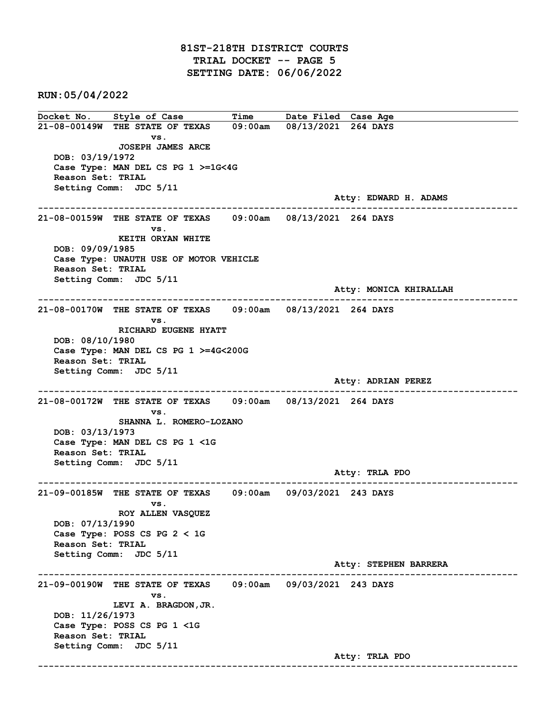## 81ST-218TH DISTRICT COURTS TRIAL DOCKET -- PAGE 5 SETTING DATE: 06/06/2022

RUN:05/04/2022

Docket No. Style of Case Time Date Filed Case Age 21-08-00149W THE STATE OF TEXAS 09:00am 08/13/2021 264 DAYS vs. JOSEPH JAMES ARCE DOB: 03/19/1972 Case Type: MAN DEL CS PG 1 >=1G<4G Reason Set: TRIAL Setting Comm: JDC 5/11 Atty: EDWARD H. ADAMS ------------------------------------------------------------------------------------------------------------------------ 21-08-00159W THE STATE OF TEXAS 09:00am 08/13/2021 264 DAYS vs. KEITH ORYAN WHITE DOB: 09/09/1985 Case Type: UNAUTH USE OF MOTOR VEHICLE Reason Set: TRIAL Setting Comm: JDC 5/11 Atty: MONICA KHIRALLAH ------------------------------------------------------------------------------------------------------------------------ 21-08-00170W THE STATE OF TEXAS 09:00am 08/13/2021 264 DAYS vs. RICHARD EUGENE HYATT DOB: 08/10/1980 Case Type: MAN DEL CS PG 1 >=4G<200G Reason Set: TRIAL Setting Comm: JDC 5/11 Atty: ADRIAN PEREZ ------------------------------------------------------------------------------------------------------------------------ 21-08-00172W THE STATE OF TEXAS 09:00am 08/13/2021 264 DAYS vs. SHANNA L. ROMERO-LOZANO DOB: 03/13/1973 Case Type: MAN DEL CS PG 1 <1G Reason Set: TRIAL Setting Comm: JDC 5/11 Atty: TRLA PDO ------------------------------------------------------------------------------------------------------------------------ 21-09-00185W THE STATE OF TEXAS 09:00am 09/03/2021 243 DAYS vs. ROY ALLEN VASQUEZ DOB: 07/13/1990 Case Type: POSS CS PG 2 < 1G Reason Set: TRIAL Setting Comm: JDC 5/11 Atty: STEPHEN BARRERA ------------------------------------------------------------------------------------------------------------------------ 21-09-00190W THE STATE OF TEXAS 09:00am 09/03/2021 243 DAYS vs. LEVI A. BRAGDON,JR. DOB: 11/26/1973 Case Type: POSS CS PG 1 <1G Reason Set: TRIAL Setting Comm: JDC 5/11 Atty: TRLA PDO ------------------------------------------------------------------------------------------------------------------------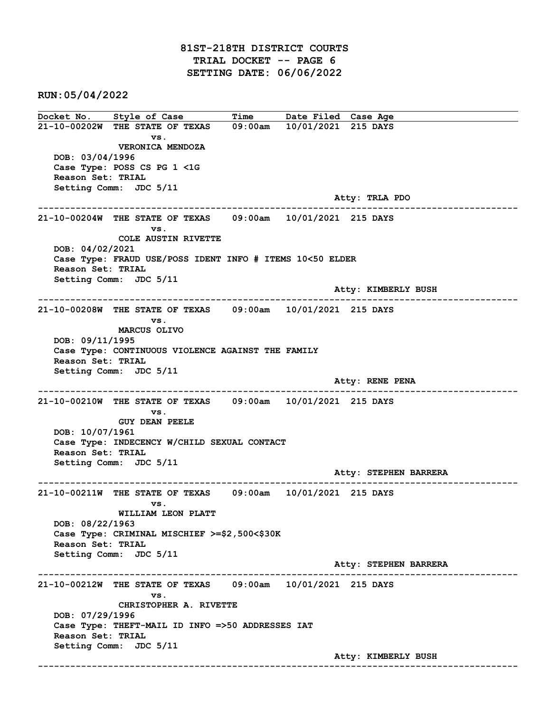## 81ST-218TH DISTRICT COURTS TRIAL DOCKET -- PAGE 6 SETTING DATE: 06/06/2022

RUN:05/04/2022

Docket No. Style of Case Time Date Filed Case Age 21-10-00202W THE STATE OF TEXAS 09:00am 10/01/2021 215 DAYS vs. VERONICA MENDOZA DOB: 03/04/1996 Case Type: POSS CS PG 1 <1G Reason Set: TRIAL Setting Comm: JDC 5/11 Atty: TRLA PDO ------------------------------------------------------------------------------------------------------------------------ 21-10-00204W THE STATE OF TEXAS 09:00am 10/01/2021 215 DAYS vs. COLE AUSTIN RIVETTE DOB: 04/02/2021 Case Type: FRAUD USE/POSS IDENT INFO # ITEMS 10<50 ELDER Reason Set: TRIAL Setting Comm: JDC 5/11 Atty: KIMBERLY BUSH ------------------------------------------------------------------------------------------------------------------------ 21-10-00208W THE STATE OF TEXAS 09:00am 10/01/2021 215 DAYS vs. MARCUS OLIVO DOB: 09/11/1995 Case Type: CONTINUOUS VIOLENCE AGAINST THE FAMILY Reason Set: TRIAL Setting Comm: JDC 5/11 Atty: RENE PENA ------------------------------------------------------------------------------------------------------------------------ 21-10-00210W THE STATE OF TEXAS 09:00am 10/01/2021 215 DAYS vs. GUY DEAN PEELE DOB: 10/07/1961 Case Type: INDECENCY W/CHILD SEXUAL CONTACT Reason Set: TRIAL Setting Comm: JDC 5/11 Atty: STEPHEN BARRERA ------------------------------------------------------------------------------------------------------------------------ 21-10-00211W THE STATE OF TEXAS 09:00am 10/01/2021 215 DAYS vs. WILLIAM LEON PLATT DOB: 08/22/1963 Case Type: CRIMINAL MISCHIEF >=\$2,500<\$30K Reason Set: TRIAL Setting Comm: JDC 5/11 Atty: STEPHEN BARRERA ------------------------------------------------------------------------------------------------------------------------ 21-10-00212W THE STATE OF TEXAS 09:00am 10/01/2021 215 DAYS vs. CHRISTOPHER A. RIVETTE DOB: 07/29/1996 Case Type: THEFT-MAIL ID INFO =>50 ADDRESSES IAT Reason Set: TRIAL Setting Comm: JDC 5/11 Atty: KIMBERLY BUSH ------------------------------------------------------------------------------------------------------------------------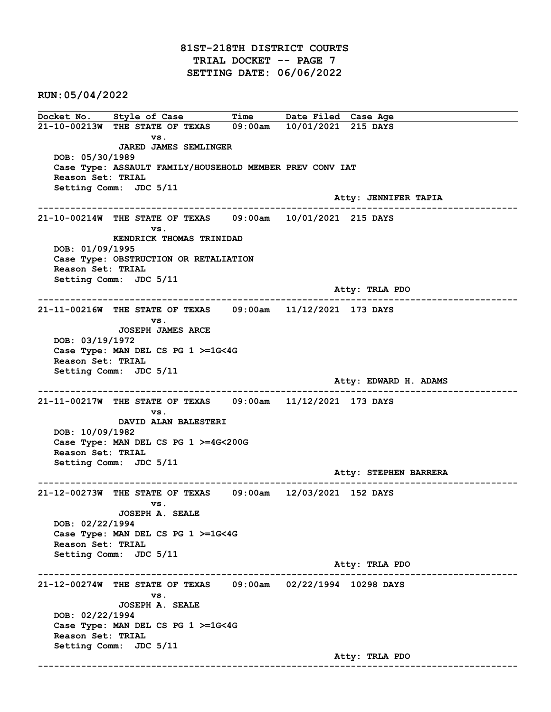## 81ST-218TH DISTRICT COURTS TRIAL DOCKET -- PAGE 7 SETTING DATE: 06/06/2022

RUN:05/04/2022

Docket No. Style of Case Time Date Filed Case Age 21-10-00213W THE STATE OF TEXAS 09:00am 10/01/2021 215 DAYS vs. JARED JAMES SEMLINGER DOB: 05/30/1989 Case Type: ASSAULT FAMILY/HOUSEHOLD MEMBER PREV CONV IAT Reason Set: TRIAL Setting Comm: JDC 5/11 Atty: JENNIFER TAPIA ------------------------------------------------------------------------------------------------------------------------ 21-10-00214W THE STATE OF TEXAS 09:00am 10/01/2021 215 DAYS vs. KENDRICK THOMAS TRINIDAD DOB: 01/09/1995 Case Type: OBSTRUCTION OR RETALIATION Reason Set: TRIAL Setting Comm: JDC 5/11 Atty: TRLA PDO ------------------------------------------------------------------------------------------------------------------------ 21-11-00216W THE STATE OF TEXAS 09:00am 11/12/2021 173 DAYS vs. JOSEPH JAMES ARCE DOB: 03/19/1972 Case Type: MAN DEL CS PG 1 >=1G<4G Reason Set: TRIAL Setting Comm: JDC 5/11 Atty: EDWARD H. ADAMS ------------------------------------------------------------------------------------------------------------------------ 21-11-00217W THE STATE OF TEXAS 09:00am 11/12/2021 173 DAYS vs. DAVID ALAN BALESTERI DOB: 10/09/1982 Case Type: MAN DEL CS PG 1 >=4G<200G Reason Set: TRIAL Setting Comm: JDC 5/11 Atty: STEPHEN BARRERA ------------------------------------------------------------------------------------------------------------------------ 21-12-00273W THE STATE OF TEXAS 09:00am 12/03/2021 152 DAYS vs. JOSEPH A. SEALE DOB: 02/22/1994 Case Type: MAN DEL CS PG 1 >=1G<4G Reason Set: TRIAL Setting Comm: JDC 5/11 Atty: TRLA PDO ------------------------------------------------------------------------------------------------------------------------ 21-12-00274W THE STATE OF TEXAS 09:00am 02/22/1994 10298 DAYS vs. JOSEPH A. SEALE DOB: 02/22/1994 Case Type: MAN DEL CS PG 1 >=1G<4G Reason Set: TRIAL Setting Comm: JDC 5/11 Atty: TRLA PDO ------------------------------------------------------------------------------------------------------------------------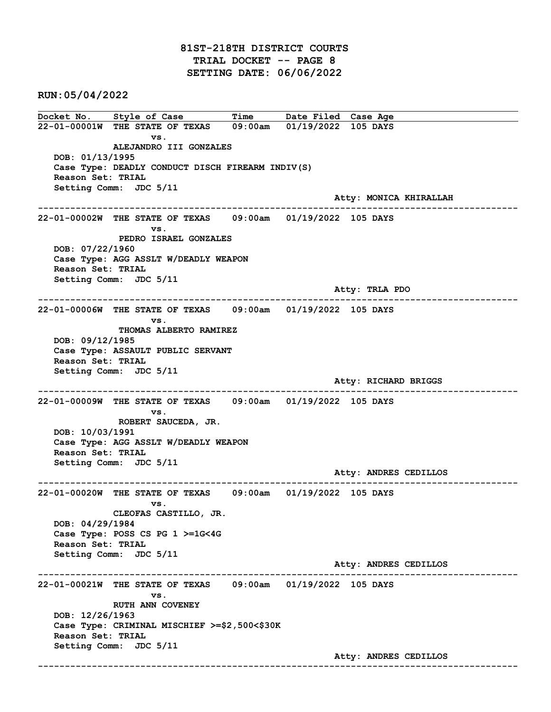Docket No. Style of Case Time Date Filed Case Age 22-01-00001W THE STATE OF TEXAS 09:00am 01/19/2022 105 DAYS vs. ALEJANDRO III GONZALES DOB: 01/13/1995 Case Type: DEADLY CONDUCT DISCH FIREARM INDIV(S) Reason Set: TRIAL Setting Comm: JDC 5/11 Atty: MONICA KHIRALLAH ------------------------------------------------------------------------------------------------------------------------ 22-01-00002W THE STATE OF TEXAS 09:00am 01/19/2022 105 DAYS vs. PEDRO ISRAEL GONZALES DOB: 07/22/1960 Case Type: AGG ASSLT W/DEADLY WEAPON Reason Set: TRIAL Setting Comm: JDC 5/11 Atty: TRLA PDO ------------------------------------------------------------------------------------------------------------------------ 22-01-00006W THE STATE OF TEXAS 09:00am 01/19/2022 105 DAYS vs. THOMAS ALBERTO RAMIREZ DOB: 09/12/1985 Case Type: ASSAULT PUBLIC SERVANT Reason Set: TRIAL Setting Comm: JDC 5/11 Atty: RICHARD BRIGGS ------------------------------------------------------------------------------------------------------------------------ 22-01-00009W THE STATE OF TEXAS 09:00am 01/19/2022 105 DAYS vs. ROBERT SAUCEDA, JR. DOB: 10/03/1991 Case Type: AGG ASSLT W/DEADLY WEAPON Reason Set: TRIAL Setting Comm: JDC 5/11 Atty: ANDRES CEDILLOS ------------------------------------------------------------------------------------------------------------------------ 22-01-00020W THE STATE OF TEXAS 09:00am 01/19/2022 105 DAYS vs. CLEOFAS CASTILLO, JR. DOB: 04/29/1984 Case Type: POSS CS PG 1 >=1G<4G Reason Set: TRIAL Setting Comm: JDC 5/11 Atty: ANDRES CEDILLOS ------------------------------------------------------------------------------------------------------------------------ 22-01-00021W THE STATE OF TEXAS 09:00am 01/19/2022 105 DAYS vs. RUTH ANN COVENEY DOB: 12/26/1963 Case Type: CRIMINAL MISCHIEF >=\$2,500<\$30K Reason Set: TRIAL Setting Comm: JDC 5/11 Atty: ANDRES CEDILLOS ------------------------------------------------------------------------------------------------------------------------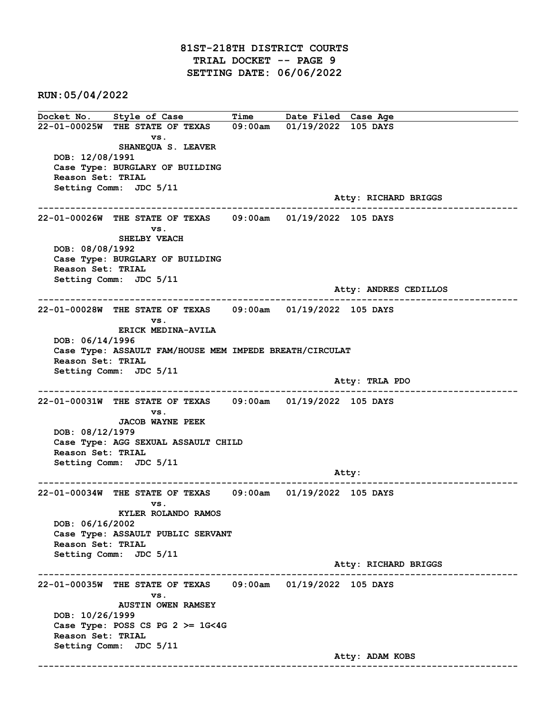## 81ST-218TH DISTRICT COURTS TRIAL DOCKET -- PAGE 9 SETTING DATE: 06/06/2022

RUN:05/04/2022

Docket No. Style of Case Time Date Filed Case Age 22-01-00025W THE STATE OF TEXAS 09:00am 01/19/2022 105 DAYS vs. SHANEQUA S. LEAVER DOB: 12/08/1991 Case Type: BURGLARY OF BUILDING Reason Set: TRIAL Setting Comm: JDC 5/11 Atty: RICHARD BRIGGS ------------------------------------------------------------------------------------------------------------------------ 22-01-00026W THE STATE OF TEXAS 09:00am 01/19/2022 105 DAYS vs. SHELBY VEACH DOB: 08/08/1992 Case Type: BURGLARY OF BUILDING Reason Set: TRIAL Setting Comm: JDC 5/11 Atty: ANDRES CEDILLOS ------------------------------------------------------------------------------------------------------------------------ 22-01-00028W THE STATE OF TEXAS 09:00am 01/19/2022 105 DAYS vs. ERICK MEDINA-AVILA DOB: 06/14/1996 Case Type: ASSAULT FAM/HOUSE MEM IMPEDE BREATH/CIRCULAT Reason Set: TRIAL Setting Comm: JDC 5/11 Atty: TRLA PDO ------------------------------------------------------------------------------------------------------------------------ 22-01-00031W THE STATE OF TEXAS 09:00am 01/19/2022 105 DAYS vs. JACOB WAYNE PEEK DOB: 08/12/1979 Case Type: AGG SEXUAL ASSAULT CHILD Reason Set: TRIAL Setting Comm: JDC 5/11 example of the state of the state of the state of the state of the state of the state of the state of the state of the state of the state of the state of the state of the state of the state of the state of the state of the ------------------------------------------------------------------------------------------------------------------------ 22-01-00034W THE STATE OF TEXAS 09:00am 01/19/2022 105 DAYS vs. KYLER ROLANDO RAMOS DOB: 06/16/2002 Case Type: ASSAULT PUBLIC SERVANT Reason Set: TRIAL Setting Comm: JDC 5/11 Atty: RICHARD BRIGGS ------------------------------------------------------------------------------------------------------------------------ 22-01-00035W THE STATE OF TEXAS 09:00am 01/19/2022 105 DAYS vs. AUSTIN OWEN RAMSEY DOB: 10/26/1999 Case Type: POSS CS PG  $2 \ge 1$ G<4G Reason Set: TRIAL Setting Comm: JDC 5/11 Atty: ADAM KOBS ------------------------------------------------------------------------------------------------------------------------